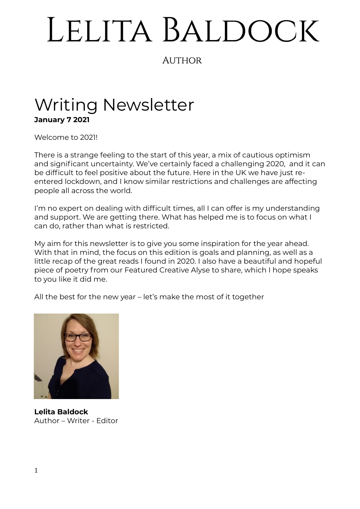# LELITA BALDOCK

## **AUTHOR**

# Writing Newsletter **January 7 2021**

Welcome to 2021!

There is a strange feeling to the start of this year, a mix of cautious optimism and significant uncertainty. We've certainly faced a challenging 2020, and it can be difficult to feel positive about the future. Here in the UK we have just reentered lockdown, and I know similar restrictions and challenges are affecting people all across the world.

I'm no expert on dealing with difficult times, all I can offer is my understanding and support. We are getting there. What has helped me is to focus on what I can do, rather than what is restricted.

My aim for this newsletter is to give you some inspiration for the year ahead. With that in mind, the focus on this edition is goals and planning, as well as a little recap of the great reads I found in 2020. I also have a beautiful and hopeful piece of poetry from our Featured Creative Alyse to share, which I hope speaks to you like it did me.

All the best for the new year – let's make the most of it together



**Lelita Baldock** Author – Writer - Editor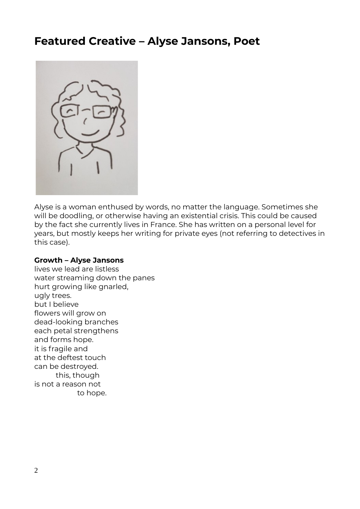## **Featured Creative – Alyse Jansons, Poet**



Alyse is a woman enthused by words, no matter the language. Sometimes she will be doodling, or otherwise having an existential crisis. This could be caused by the fact she currently lives in France. She has written on a personal level for years, but mostly keeps her writing for private eyes (not referring to detectives in this case).

#### **Growth – Alyse Jansons**

lives we lead are listless water streaming down the panes hurt growing like gnarled, ugly trees. but I believe flowers will grow on dead-looking branches each petal strengthens and forms hope. it is fragile and at the deftest touch can be destroyed. this, though is not a reason not to hope.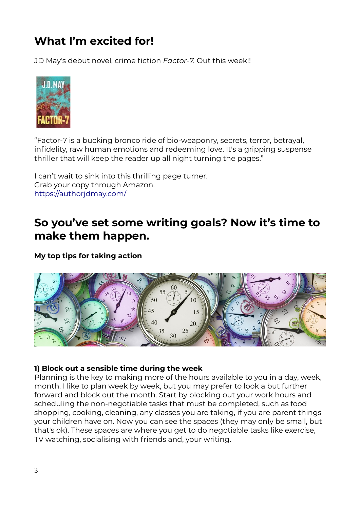# **What I'm excited for!**

JD May's debut novel, crime fiction *Factor-7.* Out this week!!



"Factor-7 is a bucking bronco ride of bio-weaponry, secrets, terror, betrayal, infidelity, raw human emotions and redeeming love. It's a gripping suspense thriller that will keep the reader up all night turning the pages."

I can't wait to sink into this thrilling page turner. Grab your copy through Amazon. <https://authorjdmay.com/>

## **So you've set some writing goals? Now it's time to make them happen.**

**My top tips for taking action**



#### **1) Block out a sensible time during the week**

Planning is the key to making more of the hours available to you in a day, week, month. I like to plan week by week, but you may prefer to look a but further forward and block out the month. Start by blocking out your work hours and scheduling the non-negotiable tasks that must be completed, such as food shopping, cooking, cleaning, any classes you are taking, if you are parent things your children have on. Now you can see the spaces (they may only be small, but that's ok). These spaces are where you get to do negotiable tasks like exercise, TV watching, socialising with friends and, your writing.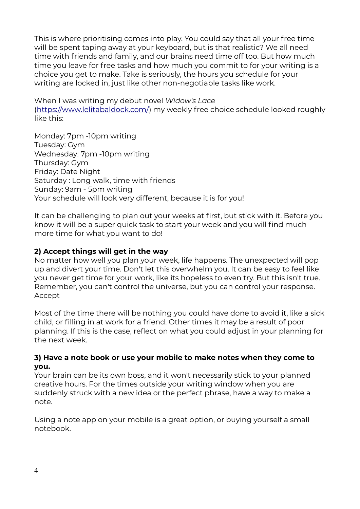This is where prioritising comes into play. You could say that all your free time will be spent taping away at your keyboard, but is that realistic? We all need time with friends and family, and our brains need time off too. But how much time you leave for free tasks and how much you commit to for your writing is a choice you get to make. Take is seriously, the hours you schedule for your writing are locked in, just like other non-negotiable tasks like work.

When I was writing my debut novel *Widow's Lace*  (<https://www.lelitabaldock.com/>) my weekly free choice schedule looked roughly like this:

Monday: 7pm -10pm writing Tuesday: Gym Wednesday: 7pm -10pm writing Thursday: Gym Friday: Date Night Saturday : Long walk, time with friends Sunday: 9am - 5pm writing Your schedule will look very different, because it is for you!

It can be challenging to plan out your weeks at first, but stick with it. Before you know it will be a super quick task to start your week and you will find much more time for what you want to do!

#### **2) Accept things will get in the way**

No matter how well you plan your week, life happens. The unexpected will pop up and divert your time. Don't let this overwhelm you. It can be easy to feel like you never get time for your work, like its hopeless to even try. But this isn't true. Remember, you can't control the universe, but you can control your response. Accept

Most of the time there will be nothing you could have done to avoid it, like a sick child, or filling in at work for a friend. Other times it may be a result of poor planning. If this is the case, reflect on what you could adjust in your planning for the next week.

#### **3) Have a note book or use your mobile to make notes when they come to you.**

Your brain can be its own boss, and it won't necessarily stick to your planned creative hours. For the times outside your writing window when you are suddenly struck with a new idea or the perfect phrase, have a way to make a note.

Using a note app on your mobile is a great option, or buying yourself a small notebook.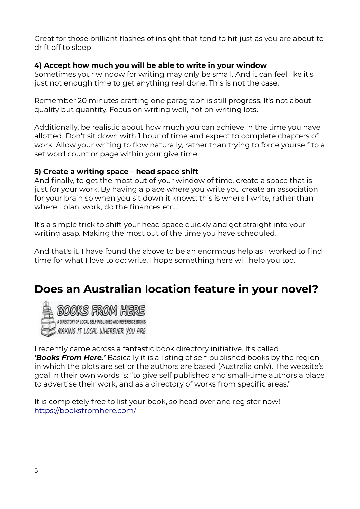Great for those brilliant flashes of insight that tend to hit just as you are about to drift off to sleep!

#### **4) Accept how much you will be able to write in your window**

Sometimes your window for writing may only be small. And it can feel like it's just not enough time to get anything real done. This is not the case.

Remember 20 minutes crafting one paragraph is still progress. It's not about quality but quantity. Focus on writing well, not on writing lots.

Additionally, be realistic about how much you can achieve in the time you have allotted. Don't sit down with 1 hour of time and expect to complete chapters of work. Allow your writing to flow naturally, rather than trying to force yourself to a set word count or page within your give time.

#### **5) Create a writing space – head space shift**

And finally, to get the most out of your window of time, create a space that is just for your work. By having a place where you write you create an association for your brain so when you sit down it knows: this is where I write, rather than where I plan, work, do the finances etc...

It's a simple trick to shift your head space quickly and get straight into your writing asap. Making the most out of the time you have scheduled.

And that's it. I have found the above to be an enormous help as I worked to find time for what I love to do: write. I hope something here will help you too.

## **Does an Australian location feature in your novel?**



A DIRECTORY OF LOCAL SELF PUBLISHED AND REFERENCE BOOKS MAKING IT LOCAL WHEREVER YOU ARE

I recently came across a fantastic book directory initiative. It's called *'Books From Here.'* Basically it is a listing of self-published books by the region in which the plots are set or the authors are based (Australia only). The website's goal in their own words is: "to give self published and small-time authors a place to advertise their work, and as a directory of works from specific areas."

It is completely free to list your book, so head over and register now! https://booksfromhere.com/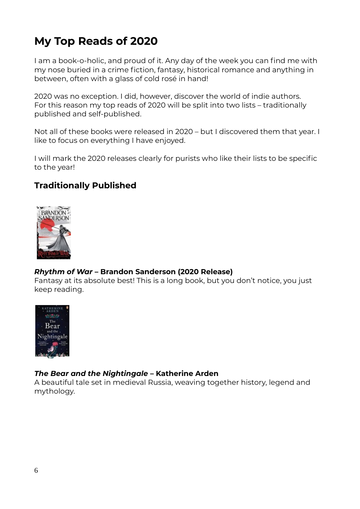# **My Top Reads of 2020**

I am a book-o-holic, and proud of it. Any day of the week you can find me with my nose buried in a crime fiction, fantasy, historical romance and anything in between, often with a glass of cold rosé in hand!

2020 was no exception. I did, however, discover the world of indie authors. For this reason my top reads of 2020 will be split into two lists – traditionally published and self-published.

Not all of these books were released in 2020 – but I discovered them that year. I like to focus on everything I have enjoyed.

I will mark the 2020 releases clearly for purists who like their lists to be specific to the year!

## **Traditionally Published**



#### *Rhythm of War* **– Brandon Sanderson (2020 Release)**

Fantasy at its absolute best! This is a long book, but you don't notice, you just keep reading.



#### *The Bear and the Nightingale* **– Katherine Arden**

A beautiful tale set in medieval Russia, weaving together history, legend and mythology.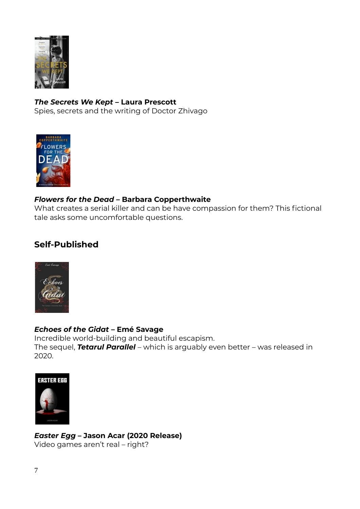

#### *The Secrets We Kept –* **Laura Prescott**

Spies, secrets and the writing of Doctor Zhivago



#### *Flowers for the Dead –* **Barbara Copperthwaite**

What creates a serial killer and can be have compassion for them? This fictional tale asks some uncomfortable questions.

## **Self-Published**



#### *Echoes of the Gidat* **– Emé Savage**

Incredible world-building and beautiful escapism. The sequel, *Tetarul Parallel* – which is arguably even better – was released in 2020.



*Easter Egg* **– Jason Acar (2020 Release)** Video games aren't real – right?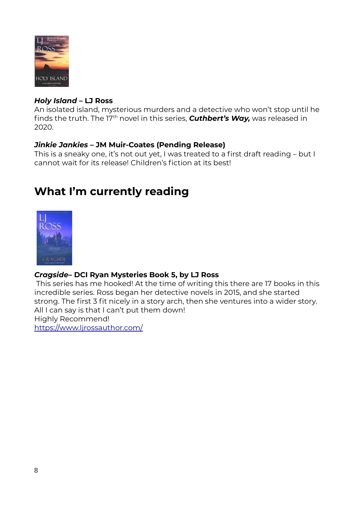

#### *Holy Island* **– LJ Ross**

An isolated island, mysterious murders and a detective who won't stop until he finds the truth. The 17<sup>th</sup> novel in this series, **Cuthbert's Way,** was released in 2020.

#### *Jinkie Jankies* **– JM Muir-Coates (Pending Release)**

This is a sneaky one, it's not out yet, I was treated to a first draft reading – but I cannot wait for its release! Children's fiction at its best!

## **What I'm currently reading**



#### *Cragside***– DCI Ryan Mysteries Book 5, by LJ Ross**

 This series has me hooked! At the time of writing this there are 17 books in this incredible series. Ross began her detective novels in 2015, and she started strong. The first 3 fit nicely in a story arch, then she ventures into a wider story. All I can say is that I can't put them down! Highly Recommend! https://www.ljrossauthor.com/